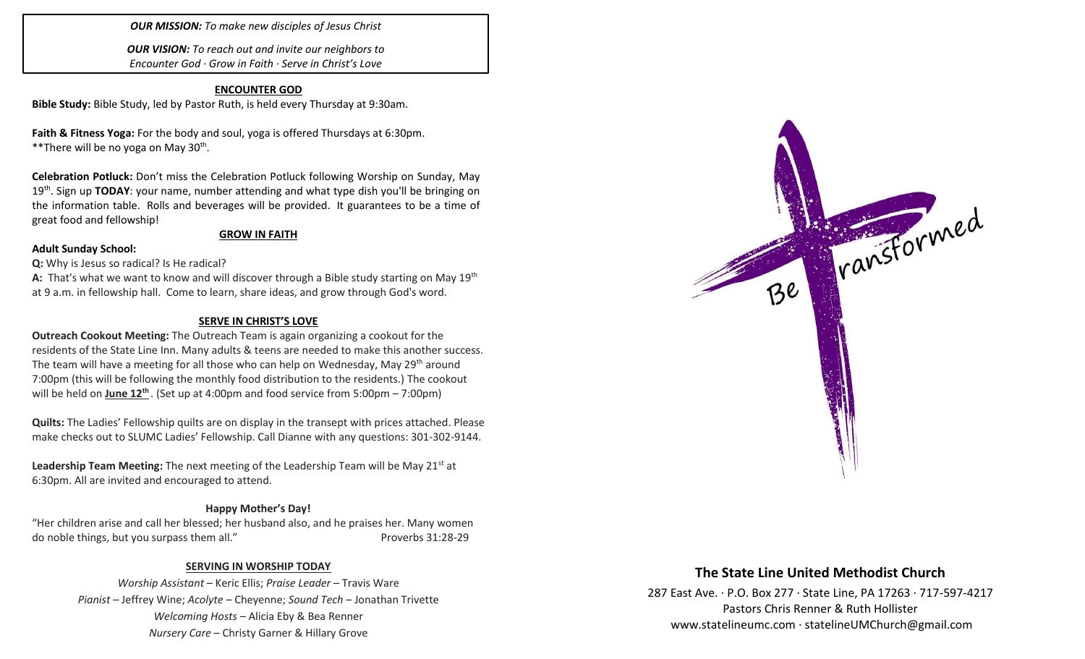# *OUR MISSION: To make new disciples of Jesus Christ*

*OUR VISION: To reach out and invite our neighbors to Encounter God · Grow in Faith · Serve in Christ's Love*

# **ENCOUNTER GOD**

**Bible Study:** Bible Study, led by Pastor Ruth, is held every Thursday at 9:30am.

**Faith & Fitness Yoga:** For the body and soul, yoga is offered Thursdays at 6:30pm. \*\*There will be no yoga on May 30<sup>th</sup>.

**Celebration Potluck:** Don't miss the Celebration Potluck following Worship on Sunday, May 19<sup>th</sup>. Sign up TODAY: your name, number attending and what type dish you'll be bringing on the information table. Rolls and beverages will be provided. It guarantees to be a time of great food and fellowship!

### **GROW IN FAITH**

### **Adult Sunday School:**

**Q:** Why is Jesus so radical? Is He radical?

**A:** That's what we want to know and will discover through a Bible study starting on May 19th at 9 a.m. in fellowship hall. Come to learn, share ideas, and grow through God's word.

# **SERVE IN CHRIST'S LOVE**

**Outreach Cookout Meeting:** The Outreach Team is again organizing a cookout for the residents of the State Line Inn. Many adults & teens are needed to make this another success. The team will have a meeting for all those who can help on Wednesday, May 29th around 7:00pm (this will be following the monthly food distribution to the residents.) The cookout will be held on **June 12 th** . (Set up at 4:00pm and food service from 5:00pm – 7:00pm)

**Quilts:** The Ladies' Fellowship quilts are on display in the transept with prices attached. Please make checks out to SLUMC Ladies' Fellowship. Call Dianne with any questions: 301-302-9144.

Leadership Team Meeting: The next meeting of the Leadership Team will be May 21<sup>st</sup> at 6:30pm. All are invited and encouraged to attend.

# **Happy Mother's Day!**

"Her children arise and call her blessed; her husband also, and he praises her. Many women do noble things, but you surpass them all." Proverbs 31:28-29

# **SERVING IN WORSHIP TODAY**

*Worship Assistant* – Keric Ellis; *Praise Leader* – Travis Ware *Pianist* – Jeffrey Wine; *Acolyte* – Cheyenne; *Sound Tech* – Jonathan Trivette *Welcoming Hosts* – Alicia Eby & Bea Renner *Nursery Care* – Christy Garner & Hillary Grove



# **The State Line United Methodist Church**

287 East Ave. · P.O. Box 277 · State Line, PA 17263 · 717-597-4217 Pastors Chris Renner & Ruth Hollister [www.statelineumc.com](http://www.statelineumc.com/) · statelineUMChurch@gmail.com